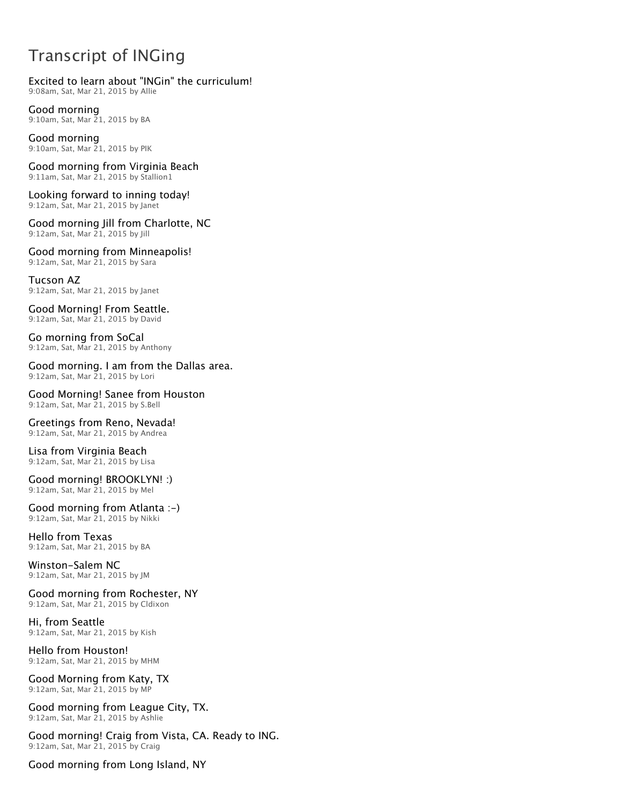# Transcript of INGing

## Excited to learn about "INGin" the curriculum!

9:08am, Sat, Mar 21, 2015 by Allie

Good morning 9:10am, Sat, Mar 21, 2015 by BA

Good morning 9:10am, Sat, Mar 21, 2015 by PIK

Good morning from Virginia Beach 9:11am, Sat, Mar 21, 2015 by Stallion1

Looking forward to inning today! 9:12am, Sat, Mar 21, 2015 by Janet

Good morning Jill from Charlotte, NC 9:12am, Sat, Mar 21, 2015 by Jill

Good morning from Minneapolis! 9:12am, Sat, Mar 21, 2015 by Sara

Tucson AZ 9:12am, Sat, Mar 21, 2015 by Janet

Good Morning! From Seattle. 9:12am, Sat, Mar 21, 2015 by David

Go morning from SoCal 9:12am, Sat, Mar 21, 2015 by Anthony

Good morning. I am from the Dallas area. 9:12am, Sat, Mar 21, 2015 by Lori

Good Morning! Sanee from Houston 9:12am, Sat, Mar 21, 2015 by S.Bell

#### Greetings from Reno, Nevada! 9:12am, Sat, Mar 21, 2015 by Andrea

Lisa from Virginia Beach 9:12am, Sat, Mar 21, 2015 by Lisa

Good morning! BROOKLYN! :) 9:12am, Sat, Mar 21, 2015 by Mel

Good morning from Atlanta :-) 9:12am, Sat, Mar 21, 2015 by Nikki

Hello from Texas 9:12am, Sat, Mar 21, 2015 by BA

Winston-Salem NC 9:12am, Sat, Mar 21, 2015 by JM

Good morning from Rochester, NY 9:12am, Sat, Mar 21, 2015 by Cldixon

Hi, from Seattle 9:12am, Sat, Mar 21, 2015 by Kish

Hello from Houston! 9:12am, Sat, Mar 21, 2015 by MHM

Good Morning from Katy, TX 9:12am, Sat, Mar 21, 2015 by MP

Good morning from League City, TX. 9:12am, Sat, Mar 21, 2015 by Ashlie

Good morning! Craig from Vista, CA. Ready to ING. 9:12am, Sat, Mar 21, 2015 by Craig

Good morning from Long Island, NY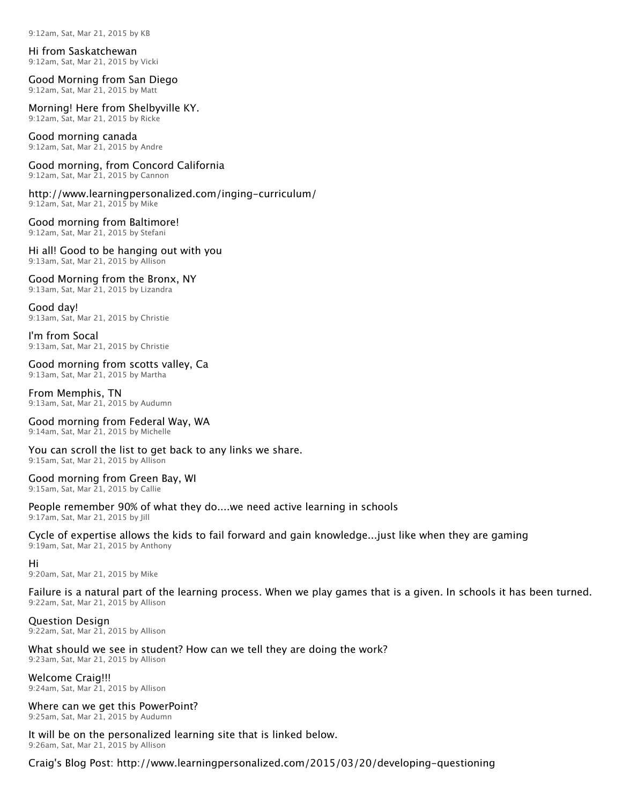9:12am, Sat, Mar 21, 2015 by KB

#### Hi from Saskatchewan

9:12am, Sat, Mar 21, 2015 by Vicki

## Good Morning from San Diego

9:12am, Sat, Mar 21, 2015 by Matt

## Morning! Here from Shelbyville KY.

9:12am, Sat, Mar 21, 2015 by Ricke

## Good morning canada

9:12am, Sat, Mar 21, 2015 by Andre

#### Good morning, from Concord California 9:12am, Sat, Mar 21, 2015 by Cannon

http://www.learningpersonalized.com/inging-curriculum/ 9:12am, Sat, Mar 21, 2015 by Mike

## Good morning from Baltimore!

9:12am, Sat, Mar 21, 2015 by Stefani

#### Hi all! Good to be hanging out with you 9:13am, Sat, Mar 21, 2015 by Allison

## Good Morning from the Bronx, NY

9:13am, Sat, Mar 21, 2015 by Lizandra

### Good day!

9:13am, Sat, Mar 21, 2015 by Christie

#### I'm from Socal 9:13am, Sat, Mar 21, 2015 by Christie

## Good morning from scotts valley, Ca

9:13am, Sat, Mar 21, 2015 by Martha

#### From Memphis, TN 9:13am, Sat, Mar 21, 2015 by Audumn

Good morning from Federal Way, WA

9:14am, Sat, Mar 21, 2015 by Michelle

## You can scroll the list to get back to any links we share.

9:15am, Sat, Mar 21, 2015 by Allison

### Good morning from Green Bay, WI

9:15am, Sat, Mar 21, 2015 by Callie

## People remember 90% of what they do....we need active learning in schools

9:17am, Sat, Mar 21, 2015 by Jill

## Cycle of expertise allows the kids to fail forward and gain knowledge...just like when they are gaming

9:19am, Sat, Mar 21, 2015 by Anthony

### Hi

9:20am, Sat, Mar 21, 2015 by Mike

### Failure is a natural part of the learning process. When we play games that is a given. In schools it has been turned. 9:22am, Sat, Mar 21, 2015 by Allison

### Question Design

9:22am, Sat, Mar 21, 2015 by Allison

## What should we see in student? How can we tell they are doing the work?

9:23am, Sat, Mar 21, 2015 by Allison

## Welcome Craig!!!

9:24am, Sat, Mar 21, 2015 by Allison

### Where can we get this PowerPoint?

9:25am, Sat, Mar 21, 2015 by Audumn

### It will be on the personalized learning site that is linked below.

9:26am, Sat, Mar 21, 2015 by Allison

Craig's Blog Post: http://www.learningpersonalized.com/2015/03/20/developing-questioning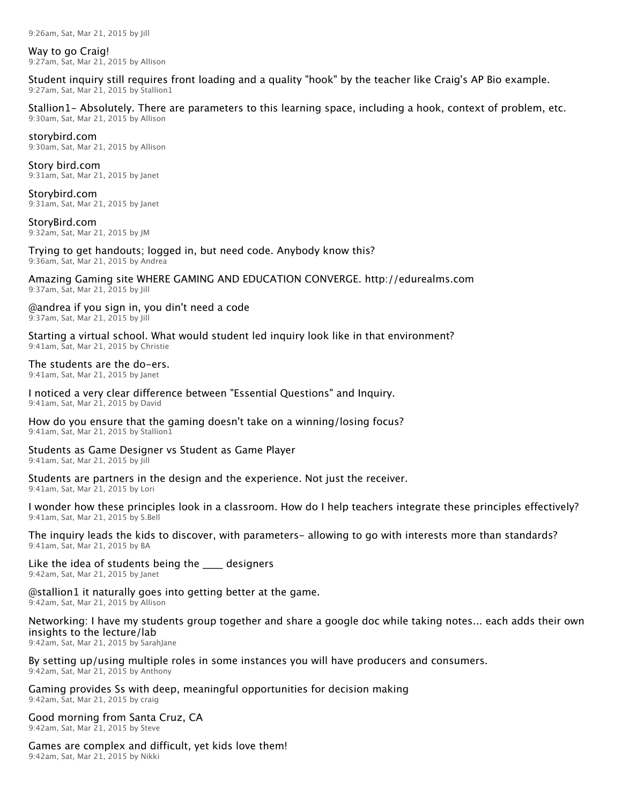9:26am, Sat, Mar 21, 2015 by Jill

Way to go Craig! 9:27am, Sat, Mar 21, 2015 by Allison

Student inquiry still requires front loading and a quality "hook" by the teacher like Craig's AP Bio example. 9:27am, Sat, Mar 21, 2015 by Stallion1

Stallion1- Absolutely. There are parameters to this learning space, including a hook, context of problem, etc. 9:30am, Sat, Mar 21, 2015 by Allison

#### storybird.com

9:30am, Sat, Mar 21, 2015 by Allison

Story bird.com 9:31am, Sat, Mar 21, 2015 by Janet

Storybird.com 9:31am, Sat, Mar 21, 2015 by Janet

StoryBird.com 9:32am, Sat, Mar 21, 2015 by JM

Trying to get handouts; logged in, but need code. Anybody know this? 9:36am, Sat, Mar 21, 2015 by Andrea

Amazing Gaming site WHERE GAMING AND EDUCATION CONVERGE. http://edurealms.com 9:37am, Sat, Mar 21, 2015 by Jill

@andrea if you sign in, you din't need a code 9:37am, Sat, Mar 21, 2015 by Jill

Starting a virtual school. What would student led inquiry look like in that environment?

9:41am, Sat, Mar 21, 2015 by Christie

The students are the do-ers. 9:41am, Sat, Mar 21, 2015 by Janet

I noticed a very clear difference between "Essential Questions" and Inquiry. 9:41am, Sat, Mar 21, 2015 by David

How do you ensure that the gaming doesn't take on a winning/losing focus? 9:41am, Sat, Mar 21, 2015 by Stallion1

Students as Game Designer vs Student as Game Player 9:41am, Sat, Mar 21, 2015 by Jill

Students are partners in the design and the experience. Not just the receiver. 9:41am, Sat, Mar 21, 2015 by Lori

I wonder how these principles look in a classroom. How do I help teachers integrate these principles effectively? 9:41am, Sat, Mar 21, 2015 by S.Bell

The inquiry leads the kids to discover, with parameters- allowing to go with interests more than standards? 9:41am, Sat, Mar 21, 2015 by BA

Like the idea of students being the \_\_\_\_ designers 9:42am, Sat, Mar 21, 2015 by Janet

@stallion1 it naturally goes into getting better at the game. 9:42am, Sat, Mar 21, 2015 by Allison

Networking: I have my students group together and share a google doc while taking notes... each adds their own insights to the lecture/lab

9:42am, Sat, Mar 21, 2015 by SarahJane

By setting up/using multiple roles in some instances you will have producers and consumers. 9:42am, Sat, Mar 21, 2015 by Anthony

Gaming provides Ss with deep, meaningful opportunities for decision making 9:42am, Sat, Mar 21, 2015 by craig

Good morning from Santa Cruz, CA 9:42am, Sat, Mar 21, 2015 by Steve

Games are complex and difficult, yet kids love them! 9:42am, Sat, Mar 21, 2015 by Nikki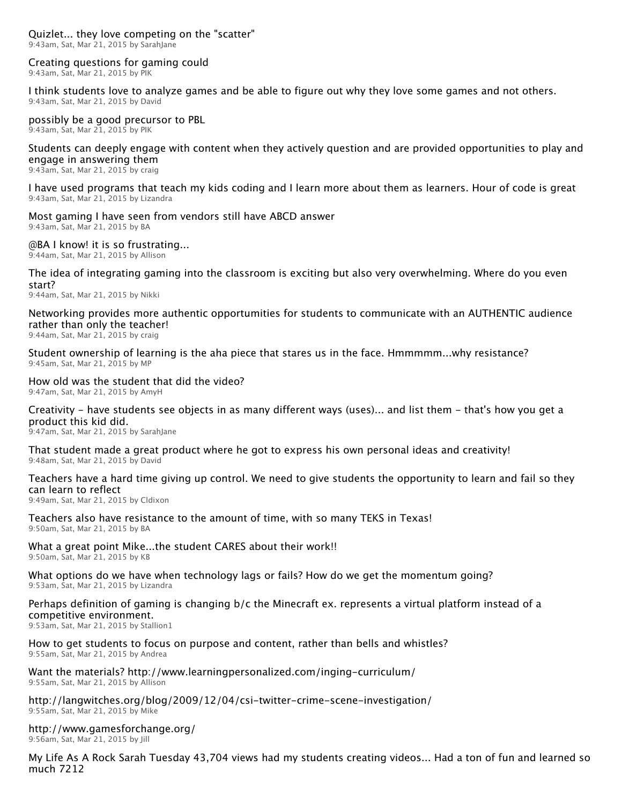## Creating questions for gaming could

9:43am, Sat, Mar 21, 2015 by PIK

I think students love to analyze games and be able to figure out why they love some games and not others. 9:43am, Sat, Mar 21, 2015 by David

possibly be a good precursor to PBL

9:43am, Sat, Mar 21, 2015 by PIK

Students can deeply engage with content when they actively question and are provided opportunities to play and engage in answering them

9:43am, Sat, Mar 21, 2015 by craig

I have used programs that teach my kids coding and I learn more about them as learners. Hour of code is great 9:43am, Sat, Mar 21, 2015 by Lizandra

# Most gaming I have seen from vendors still have ABCD answer

9:43am, Sat, Mar 21, 2015 by BA

@BA I know! it is so frustrating...

9:44am, Sat, Mar 21, 2015 by Allison

The idea of integrating gaming into the classroom is exciting but also very overwhelming. Where do you even start?

9:44am, Sat, Mar 21, 2015 by Nikki

Networking provides more authentic opportumities for students to communicate with an AUTHENTIC audience rather than only the teacher!

9:44am, Sat, Mar 21, 2015 by craig

Student ownership of learning is the aha piece that stares us in the face. Hmmmmm...why resistance? 9:45am, Sat, Mar 21, 2015 by MP

## How old was the student that did the video?

9:47am, Sat, Mar 21, 2015 by AmyH

## Creativity - have students see objects in as many different ways (uses)... and list them - that's how you get a product this kid did.

9:47am, Sat, Mar 21, 2015 by SarahJane

That student made a great product where he got to express his own personal ideas and creativity! 9:48am, Sat, Mar 21, 2015 by David

## Teachers have a hard time giving up control. We need to give students the opportunity to learn and fail so they can learn to reflect

9:49am, Sat, Mar 21, 2015 by Cldixon

Teachers also have resistance to the amount of time, with so many TEKS in Texas! 9:50am, Sat, Mar 21, 2015 by BA

What a great point Mike...the student CARES about their work!! 9:50am, Sat, Mar 21, 2015 by KB

#### What options do we have when technology lags or fails? How do we get the momentum going? 9:53am, Sat, Mar 21, 2015 by Lizandra

### Perhaps definition of gaming is changing b/c the Minecraft ex. represents a virtual platform instead of a competitive environment.

9:53am, Sat, Mar 21, 2015 by Stallion1

# How to get students to focus on purpose and content, rather than bells and whistles?

9:55am, Sat, Mar 21, 2015 by Andrea

#### Want the materials? http://www.learningpersonalized.com/inging-curriculum/ 9:55am, Sat, Mar 21, 2015 by Allison

## http://langwitches.org/blog/2009/12/04/csi-twitter-crime-scene-investigation/ 9:55am, Sat, Mar 21, 2015 by Mike

# http://www.gamesforchange.org/

9:56am, Sat, Mar 21, 2015 by Jill

My Life As A Rock Sarah Tuesday 43,704 views had my students creating videos... Had a ton of fun and learned so much 7212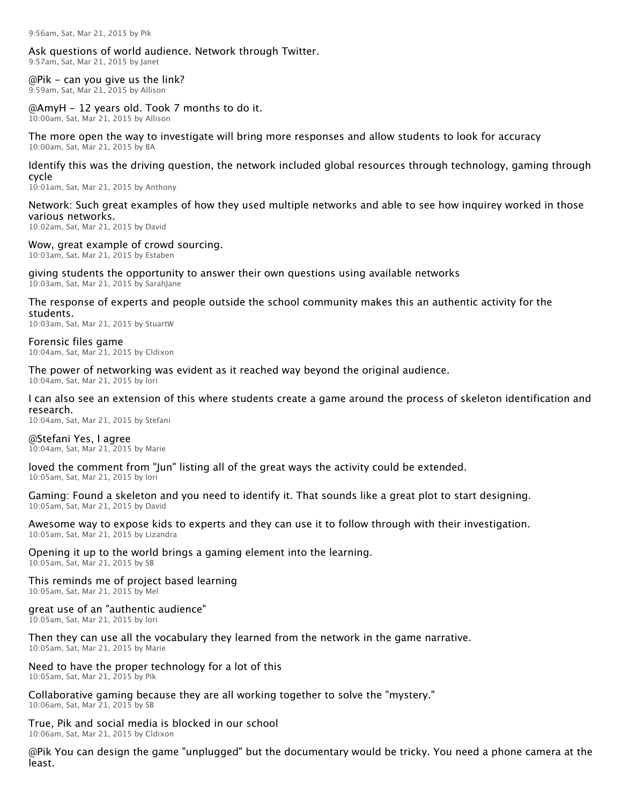### Ask questions of world audience. Network through Twitter.

9:57am, Sat, Mar 21, 2015 by Janet

@Pik - can you give us the link? 9:59am, Sat, Mar 21, 2015 by Allison

### @AmyH - 12 years old. Took 7 months to do it.

10:00am, Sat, Mar 21, 2015 by Allison

The more open the way to investigate will bring more responses and allow students to look for accuracy 10:00am, Sat, Mar 21, 2015 by BA

#### Identify this was the driving question, the network included global resources through technology, gaming through cycle

10:01am, Sat, Mar 21, 2015 by Anthony

## Network: Such great examples of how they used multiple networks and able to see how inquirey worked in those various networks.

10:02am, Sat, Mar 21, 2015 by David

## Wow, great example of crowd sourcing.

10:03am, Sat, Mar 21, 2015 by Estaben

## giving students the opportunity to answer their own questions using available networks

10:03am, Sat, Mar 21, 2015 by SarahJane

#### The response of experts and people outside the school community makes this an authentic activity for the students.

10:03am, Sat, Mar 21, 2015 by StuartW

#### Forensic files game 10:04am, Sat, Mar 21, 2015 by Cldixon

The power of networking was evident as it reached way beyond the original audience.

## 10:04am, Sat, Mar 21, 2015 by lori

I can also see an extension of this where students create a game around the process of skeleton identification and research.

10:04am, Sat, Mar 21, 2015 by Stefani

#### @Stefani Yes, I agree 10:04am, Sat, Mar 21, 2015 by Marie

loved the comment from "Jun" listing all of the great ways the activity could be extended.

10:05am, Sat, Mar 21, 2015 by lori

#### Gaming: Found a skeleton and you need to identify it. That sounds like a great plot to start designing. 10:05am, Sat, Mar 21, 2015 by David

#### Awesome way to expose kids to experts and they can use it to follow through with their investigation. 10:05am, Sat, Mar 21, 2015 by Lizandra

## Opening it up to the world brings a gaming element into the learning.

10:05am, Sat, Mar 21, 2015 by SB

## This reminds me of project based learning

10:05am, Sat, Mar 21, 2015 by Mel

### great use of an "authentic audience"

10:05am, Sat, Mar 21, 2015 by lori

#### Then they can use all the vocabulary they learned from the network in the game narrative. 10:05am, Sat, Mar 21, 2015 by Marie

# Need to have the proper technology for a lot of this

10:05am, Sat, Mar 21, 2015 by Pik

## Collaborative gaming because they are all working together to solve the "mystery."

10:06am, Sat, Mar 21, 2015 by SB

#### True, Pik and social media is blocked in our school 10:06am, Sat, Mar 21, 2015 by Cldixon

@Pik You can design the game "unplugged" but the documentary would be tricky. You need a phone camera at the least.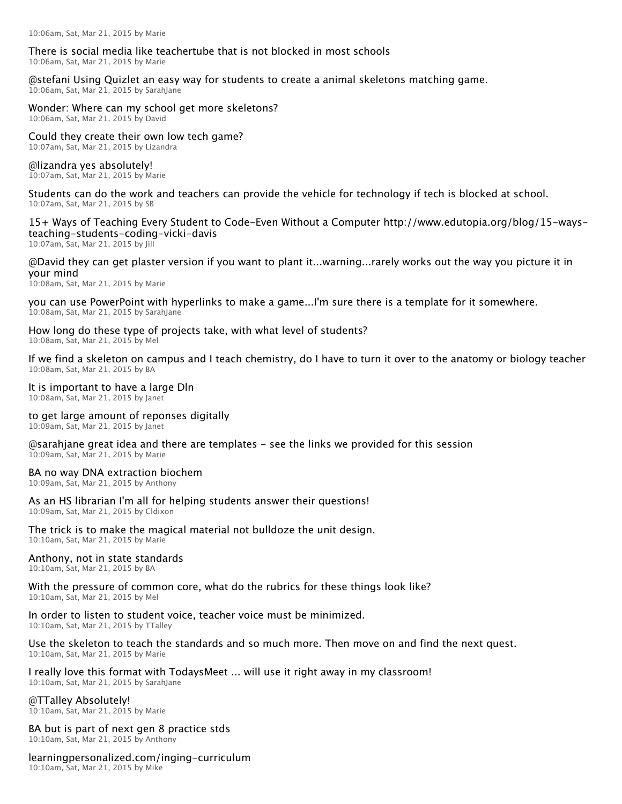#### There is social media like teachertube that is not blocked in most schools 10:06am, Sat, Mar 21, 2015 by Marie

@stefani Using Quizlet an easy way for students to create a animal skeletons matching game.

10:06am, Sat, Mar 21, 2015 by SarahJane

## Wonder: Where can my school get more skeletons?

10:06am, Sat, Mar 21, 2015 by David

Could they create their own low tech game? 10:07am, Sat, Mar 21, 2015 by Lizandra

@lizandra yes absolutely! 10:07am, Sat, Mar 21, 2015 by Marie

Students can do the work and teachers can provide the vehicle for technology if tech is blocked at school. 10:07am, Sat, Mar 21, 2015 by SB

15+ Ways of Teaching Every Student to Code-Even Without a Computer http://www.edutopia.org/blog/15-waysteaching-students-coding-vicki-davis

10:07am, Sat, Mar 21, 2015 by Jill

#### @David they can get plaster version if you want to plant it...warning...rarely works out the way you picture it in your mind

10:08am, Sat, Mar 21, 2015 by Marie

you can use PowerPoint with hyperlinks to make a game...I'm sure there is a template for it somewhere. 10:08am, Sat, Mar 21, 2015 by SarahJane

How long do these type of projects take, with what level of students? 10:08am, Sat, Mar 21, 2015 by Mel

If we find a skeleton on campus and I teach chemistry, do I have to turn it over to the anatomy or biology teacher 10:08am, Sat, Mar 21, 2015 by BA

## It is important to have a large Dln

10:08am, Sat, Mar 21, 2015 by Janet

## to get large amount of reponses digitally

10:09am, Sat, Mar 21, 2015 by Janet

@sarahjane great idea and there are templates – see the links we provided for this session 10:09am, Sat, Mar 21, 2015 by Marie

## BA no way DNA extraction biochem

10:09am, Sat, Mar 21, 2015 by Anthony

## As an HS librarian I'm all for helping students answer their questions!

10:09am, Sat, Mar 21, 2015 by Cldixon

The trick is to make the magical material not bulldoze the unit design. 10:10am, Sat, Mar 21, 2015 by Marie

### Anthony, not in state standards

10:10am, Sat, Mar 21, 2015 by BA

# With the pressure of common core, what do the rubrics for these things look like?

10:10am, Sat, Mar 21, 2015 by Mel

#### In order to listen to student voice, teacher voice must be minimized. 10:10am, Sat, Mar 21, 2015 by TTalley

#### Use the skeleton to teach the standards and so much more. Then move on and find the next quest. 10:10am, Sat, Mar 21, 2015 by Marie

## I really love this format with TodaysMeet ... will use it right away in my classroom!

10:10am, Sat, Mar 21, 2015 by SarahJane

## @TTalley Absolutely!

10:10am, Sat, Mar 21, 2015 by Marie

# BA but is part of next gen 8 practice stds

10:10am, Sat, Mar 21, 2015 by Anthony

## learningpersonalized.com/inging-curriculum

10:10am, Sat, Mar 21, 2015 by Mike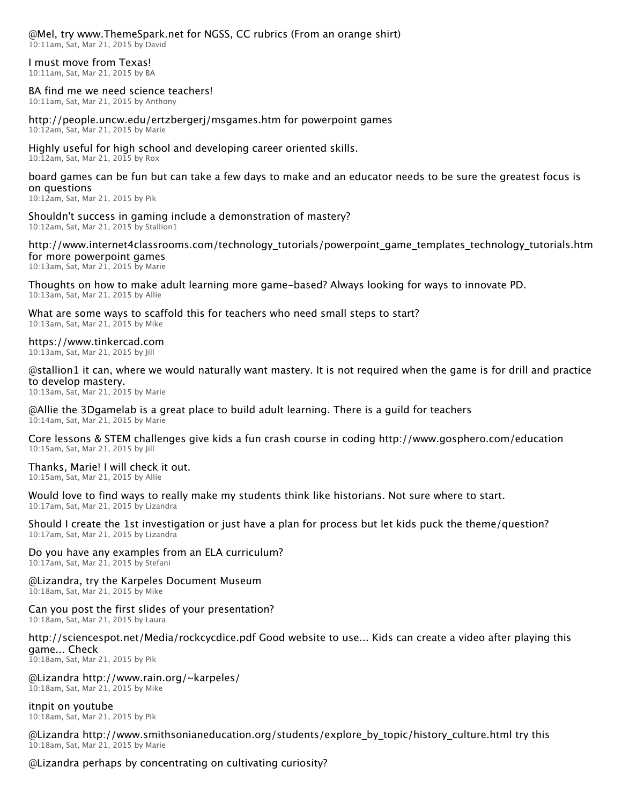## @Mel, try www.ThemeSpark.net for NGSS, CC rubrics (From an orange shirt)

10:11am, Sat, Mar 21, 2015 by David

#### I must move from Texas! 10:11am, Sat, Mar 21, 2015 by BA

### BA find me we need science teachers!

10:11am, Sat, Mar 21, 2015 by Anthony

#### http://people.uncw.edu/ertzbergerj/msgames.htm for powerpoint games 10:12am, Sat, Mar 21, 2015 by Marie

Highly useful for high school and developing career oriented skills.

10:12am, Sat, Mar 21, 2015 by Rox

## board games can be fun but can take a few days to make and an educator needs to be sure the greatest focus is on questions

10:12am, Sat, Mar 21, 2015 by Pik

Shouldn't success in gaming include a demonstration of mastery? 10:12am, Sat, Mar 21, 2015 by Stallion1

http://www.internet4classrooms.com/technology\_tutorials/powerpoint\_game\_templates\_technology\_tutorials.htm for more powerpoint games 10:13am, Sat, Mar 21, 2015 by Marie

Thoughts on how to make adult learning more game-based? Always looking for ways to innovate PD. 10:13am, Sat, Mar 21, 2015 by Allie

What are some ways to scaffold this for teachers who need small steps to start? 10:13am, Sat, Mar 21, 2015 by Mike

## https://www.tinkercad.com

10:13am, Sat, Mar 21, 2015 by Jill

@stallion1 it can, where we would naturally want mastery. It is not required when the game is for drill and practice to develop mastery.

10:13am, Sat, Mar 21, 2015 by Marie

#### @Allie the 3Dgamelab is a great place to build adult learning. There is a guild for teachers 10:14am, Sat, Mar 21, 2015 by Marie

Core lessons & STEM challenges give kids a fun crash course in coding http://www.gosphero.com/education 10:15am, Sat, Mar 21, 2015 by Jill

Thanks, Marie! I will check it out. 10:15am, Sat, Mar 21, 2015 by Allie

## Would love to find ways to really make my students think like historians. Not sure where to start.

10:17am, Sat, Mar 21, 2015 by Lizandra

Should I create the 1st investigation or just have a plan for process but let kids puck the theme/question? 10:17am, Sat, Mar 21, 2015 by Lizandra

## Do you have any examples from an ELA curriculum?

10:17am, Sat, Mar 21, 2015 by Stefani

#### @Lizandra, try the Karpeles Document Museum 10:18am, Sat, Mar 21, 2015 by Mike

## Can you post the first slides of your presentation?

10:18am, Sat, Mar 21, 2015 by Laura

### http://sciencespot.net/Media/rockcycdice.pdf Good website to use... Kids can create a video after playing this game... Check

10:18am, Sat, Mar 21, 2015 by Pik

## @Lizandra http://www.rain.org/~karpeles/

10:18am, Sat, Mar 21, 2015 by Mike

itnpit on youtube

10:18am, Sat, Mar 21, 2015 by Pik

@Lizandra http://www.smithsonianeducation.org/students/explore\_by\_topic/history\_culture.html try this 10:18am, Sat, Mar 21, 2015 by Marie

## @Lizandra perhaps by concentrating on cultivating curiosity?